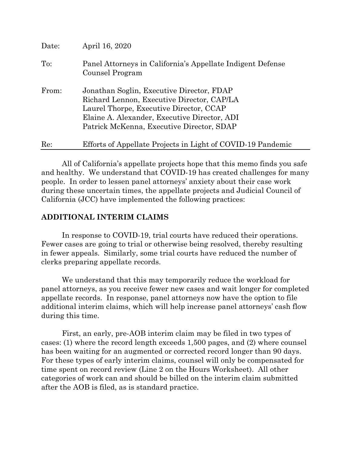| Date: | April 16, 2020                                                                                                                                                                                                                  |
|-------|---------------------------------------------------------------------------------------------------------------------------------------------------------------------------------------------------------------------------------|
| To:   | Panel Attorneys in California's Appellate Indigent Defense<br>Counsel Program                                                                                                                                                   |
| From: | Jonathan Soglin, Executive Director, FDAP<br>Richard Lennon, Executive Director, CAP/LA<br>Laurel Thorpe, Executive Director, CCAP<br>Elaine A. Alexander, Executive Director, ADI<br>Patrick McKenna, Executive Director, SDAP |
| Re:   | Efforts of Appellate Projects in Light of COVID-19 Pandemic                                                                                                                                                                     |

All of California's appellate projects hope that this memo finds you safe and healthy. We understand that COVID-19 has created challenges for many people. In order to lessen panel attorneys' anxiety about their case work during these uncertain times, the appellate projects and Judicial Council of California (JCC) have implemented the following practices:

## **ADDITIONAL INTERIM CLAIMS**

In response to COVID-19, trial courts have reduced their operations. Fewer cases are going to trial or otherwise being resolved, thereby resulting in fewer appeals. Similarly, some trial courts have reduced the number of clerks preparing appellate records.

We understand that this may temporarily reduce the workload for panel attorneys, as you receive fewer new cases and wait longer for completed appellate records. In response, panel attorneys now have the option to file additional interim claims, which will help increase panel attorneys' cash flow during this time.

First, an early, pre-AOB interim claim may be filed in two types of cases: (1) where the record length exceeds 1,500 pages, and (2) where counsel has been waiting for an augmented or corrected record longer than 90 days. For these types of early interim claims, counsel will only be compensated for time spent on record review (Line 2 on the Hours Worksheet). All other categories of work can and should be billed on the interim claim submitted after the AOB is filed, as is standard practice.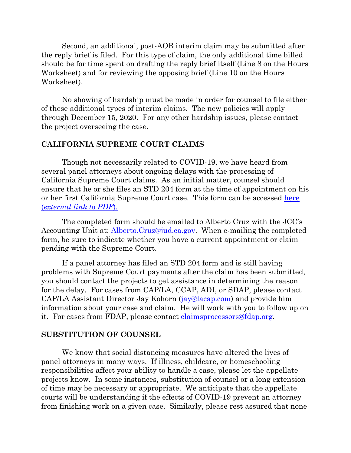Second, an additional, post-AOB interim claim may be submitted after the reply brief is filed. For this type of claim, the only additional time billed should be for time spent on drafting the reply brief itself (Line 8 on the Hours Worksheet) and for reviewing the opposing brief (Line 10 on the Hours Worksheet).

No showing of hardship must be made in order for counsel to file either of these additional types of interim claims. The new policies will apply through December 15, 2020. For any other hardship issues, please contact the project overseeing the case.

## **CALIFORNIA SUPREME COURT CLAIMS**

Though not necessarily related to COVID-19, we have heard from several panel attorneys about ongoing delays with the processing of California Supreme Court claims. As an initial matter, counsel should ensure that he or she files an STD 204 form at the time of appointment on his or her first California Supreme Court case. This form can be accessed [here](https://www.documents.dgs.ca.gov/dgs/fmc/pdf/std204.pdf)  (*[external link to PDF](https://www.documents.dgs.ca.gov/dgs/fmc/pdf/std204.pdf)*).

The completed form should be emailed to Alberto Cruz with the JCC's Accounting Unit at: [Alberto.Cruz@jud.ca.gov.](mailto:Alberto.Cruz@jud.ca.gov) When e-mailing the completed form, be sure to indicate whether you have a current appointment or claim pending with the Supreme Court.

If a panel attorney has filed an STD 204 form and is still having problems with Supreme Court payments after the claim has been submitted, you should contact the projects to get assistance in determining the reason for the delay. For cases from CAP/LA, CCAP, ADI, or SDAP, please contact CAP/LA Assistant Director Jay Kohorn [\(jay@lacap.com\)](mailto:jay@lacap.com) and provide him information about your case and claim. He will work with you to follow up on it. For cases from FDAP, please contact [claimsprocessors@fdap.org.](mailto:claimsprocessors@fdap.org)

## **SUBSTITUTION OF COUNSEL**

We know that social distancing measures have altered the lives of panel attorneys in many ways. If illness, childcare, or homeschooling responsibilities affect your ability to handle a case, please let the appellate projects know. In some instances, substitution of counsel or a long extension of time may be necessary or appropriate. We anticipate that the appellate courts will be understanding if the effects of COVID-19 prevent an attorney from finishing work on a given case. Similarly, please rest assured that none